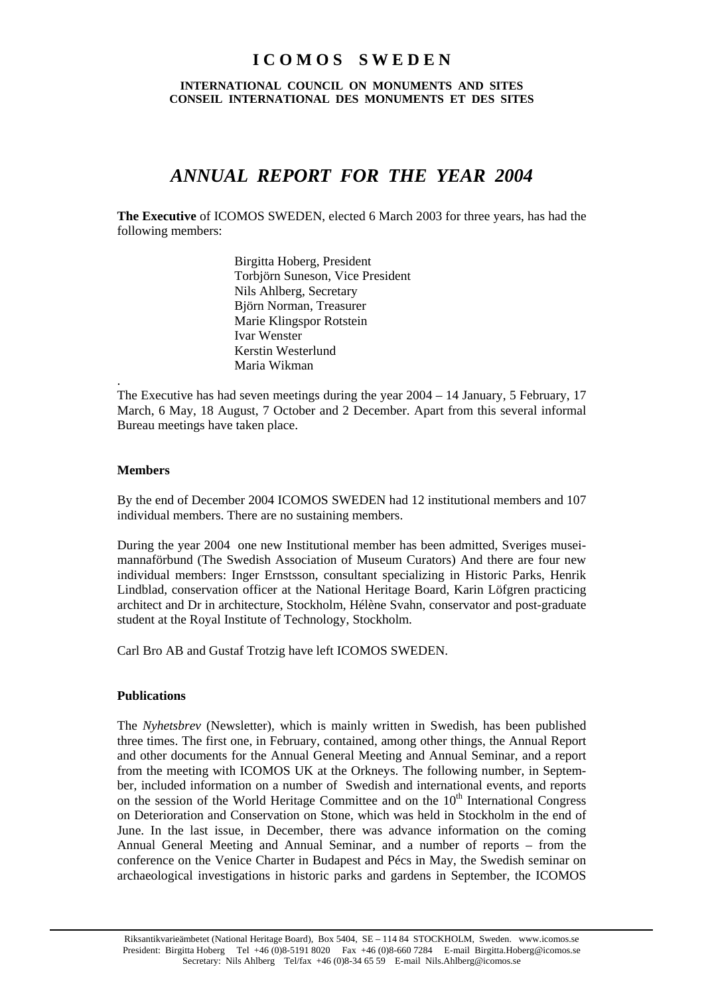# **I C O M O S S W E D E N**

**INTERNATIONAL COUNCIL ON MONUMENTS AND SITES CONSEIL INTERNATIONAL DES MONUMENTS ET DES SITES** 

# *ANNUAL REPORT FOR THE YEAR 2004*

**The Executive** of ICOMOS SWEDEN, elected 6 March 2003 for three years, has had the following members:

> Birgitta Hoberg, President Torbjörn Suneson, Vice President Nils Ahlberg, Secretary Björn Norman, Treasurer Marie Klingspor Rotstein Ivar Wenster Kerstin Westerlund Maria Wikman

The Executive has had seven meetings during the year 2004 – 14 January, 5 February, 17 March, 6 May, 18 August, 7 October and 2 December. Apart from this several informal Bureau meetings have taken place.

### **Members**

.

By the end of December 2004 ICOMOS SWEDEN had 12 institutional members and 107 individual members. There are no sustaining members.

During the year 2004 one new Institutional member has been admitted, Sveriges museimannaförbund (The Swedish Association of Museum Curators) And there are four new individual members: Inger Ernstsson, consultant specializing in Historic Parks, Henrik Lindblad, conservation officer at the National Heritage Board, Karin Löfgren practicing architect and Dr in architecture, Stockholm, Hélène Svahn, conservator and post-graduate student at the Royal Institute of Technology, Stockholm.

Carl Bro AB and Gustaf Trotzig have left ICOMOS SWEDEN.

## **Publications**

The *Nyhetsbrev* (Newsletter), which is mainly written in Swedish, has been published three times. The first one, in February, contained, among other things, the Annual Report and other documents for the Annual General Meeting and Annual Seminar, and a report from the meeting with ICOMOS UK at the Orkneys. The following number, in September, included information on a number of Swedish and international events, and reports on the session of the World Heritage Committee and on the  $10<sup>th</sup>$  International Congress on Deterioration and Conservation on Stone, which was held in Stockholm in the end of June. In the last issue, in December, there was advance information on the coming Annual General Meeting and Annual Seminar, and a number of reports – from the conference on the Venice Charter in Budapest and Pécs in May, the Swedish seminar on archaeological investigations in historic parks and gardens in September, the ICOMOS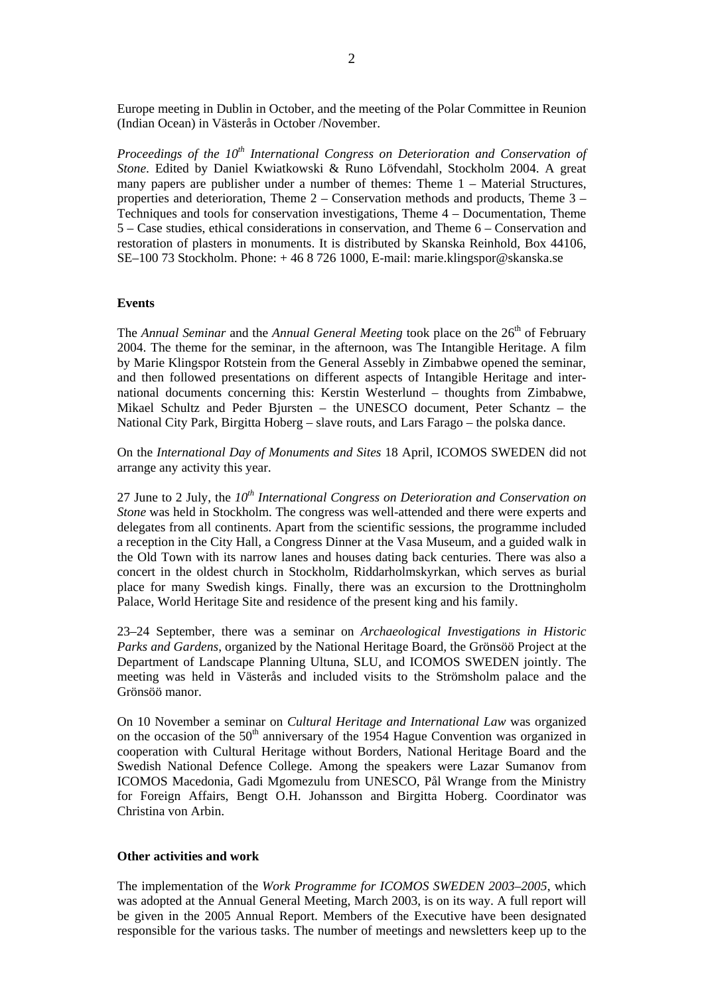Europe meeting in Dublin in October, and the meeting of the Polar Committee in Reunion (Indian Ocean) in Västerås in October /November.

*Proceedings of the 10<sup>th</sup> International Congress on Deterioration and Conservation of Stone*. Edited by Daniel Kwiatkowski & Runo Löfvendahl, Stockholm 2004. A great many papers are publisher under a number of themes: Theme 1 – Material Structures, properties and deterioration, Theme 2 – Conservation methods and products, Theme 3 – Techniques and tools for conservation investigations, Theme 4 – Documentation, Theme 5 – Case studies, ethical considerations in conservation, and Theme 6 – Conservation and restoration of plasters in monuments. It is distributed by Skanska Reinhold, Box 44106, SE–100 73 Stockholm. Phone: + 46 8 726 1000, E-mail: marie.klingspor@skanska.se

#### **Events**

The *Annual Seminar* and the *Annual General Meeting* took place on the 26<sup>th</sup> of February 2004. The theme for the seminar, in the afternoon, was The Intangible Heritage. A film by Marie Klingspor Rotstein from the General Assebly in Zimbabwe opened the seminar, and then followed presentations on different aspects of Intangible Heritage and international documents concerning this: Kerstin Westerlund – thoughts from Zimbabwe, Mikael Schultz and Peder Bjursten – the UNESCO document, Peter Schantz – the National City Park, Birgitta Hoberg – slave routs, and Lars Farago – the polska dance.

On the *International Day of Monuments and Sites* 18 April, ICOMOS SWEDEN did not arrange any activity this year.

27 June to 2 July, the *10th International Congress on Deterioration and Conservation on Stone* was held in Stockholm. The congress was well-attended and there were experts and delegates from all continents. Apart from the scientific sessions, the programme included a reception in the City Hall, a Congress Dinner at the Vasa Museum, and a guided walk in the Old Town with its narrow lanes and houses dating back centuries. There was also a concert in the oldest church in Stockholm, Riddarholmskyrkan, which serves as burial place for many Swedish kings. Finally, there was an excursion to the Drottningholm Palace, World Heritage Site and residence of the present king and his family.

23–24 September, there was a seminar on *Archaeological Investigations in Historic Parks and Gardens*, organized by the National Heritage Board, the Grönsöö Project at the Department of Landscape Planning Ultuna, SLU, and ICOMOS SWEDEN jointly. The meeting was held in Västerås and included visits to the Strömsholm palace and the Grönsöö manor.

On 10 November a seminar on *Cultural Heritage and International Law* was organized on the occasion of the  $50<sup>th</sup>$  anniversary of the 1954 Hague Convention was organized in cooperation with Cultural Heritage without Borders, National Heritage Board and the Swedish National Defence College. Among the speakers were Lazar Sumanov from ICOMOS Macedonia, Gadi Mgomezulu from UNESCO, Pål Wrange from the Ministry for Foreign Affairs, Bengt O.H. Johansson and Birgitta Hoberg. Coordinator was Christina von Arbin.

#### **Other activities and work**

The implementation of the *Work Programme for ICOMOS SWEDEN 2003–2005*, which was adopted at the Annual General Meeting, March 2003, is on its way. A full report will be given in the 2005 Annual Report. Members of the Executive have been designated responsible for the various tasks. The number of meetings and newsletters keep up to the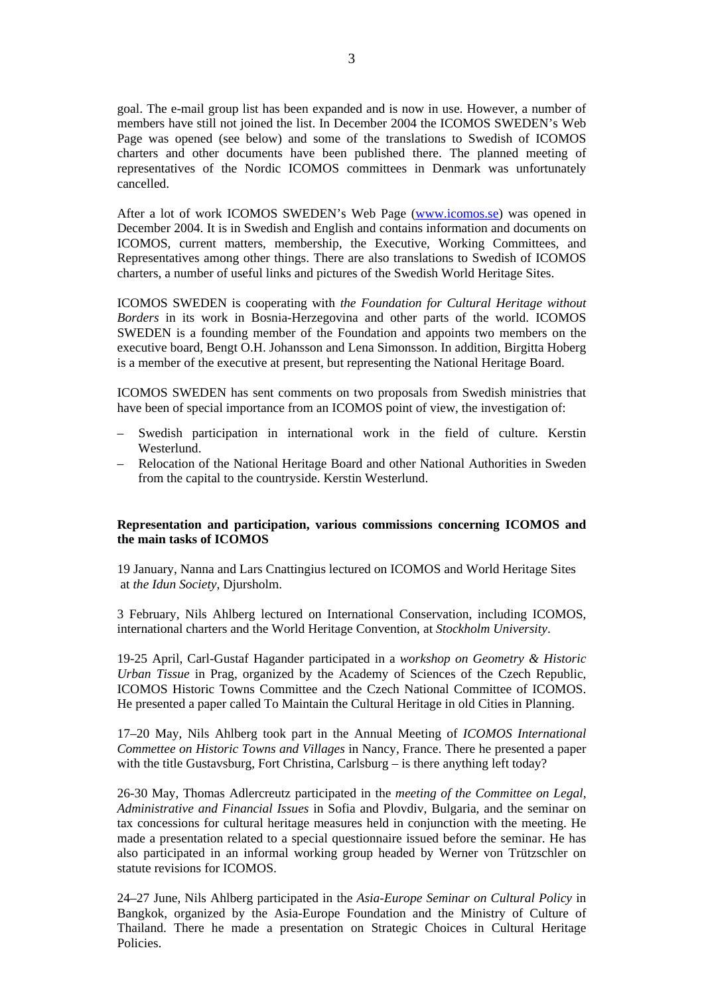goal. The e-mail group list has been expanded and is now in use. However, a number of members have still not joined the list. In December 2004 the ICOMOS SWEDEN's Web Page was opened (see below) and some of the translations to Swedish of ICOMOS charters and other documents have been published there. The planned meeting of representatives of the Nordic ICOMOS committees in Denmark was unfortunately cancelled.

After a lot of work ICOMOS SWEDEN's Web Page ([www.icomos.se\)](http://www.icomos.se/) was opened in December 2004. It is in Swedish and English and contains information and documents on ICOMOS, current matters, membership, the Executive, Working Committees, and Representatives among other things. There are also translations to Swedish of ICOMOS charters, a number of useful links and pictures of the Swedish World Heritage Sites.

ICOMOS SWEDEN is cooperating with *the Foundation for Cultural Heritage without Borders* in its work in Bosnia-Herzegovina and other parts of the world. ICOMOS SWEDEN is a founding member of the Foundation and appoints two members on the executive board, Bengt O.H. Johansson and Lena Simonsson. In addition, Birgitta Hoberg is a member of the executive at present, but representing the National Heritage Board.

ICOMOS SWEDEN has sent comments on two proposals from Swedish ministries that have been of special importance from an ICOMOS point of view, the investigation of:

- Swedish participation in international work in the field of culture. Kerstin Westerlund.
- Relocation of the National Heritage Board and other National Authorities in Sweden from the capital to the countryside. Kerstin Westerlund.

## **Representation and participation, various commissions concerning ICOMOS and the main tasks of ICOMOS**

19 January, Nanna and Lars Cnattingius lectured on ICOMOS and World Heritage Sites at *the Idun Society*, Djursholm.

3 February, Nils Ahlberg lectured on International Conservation, including ICOMOS, international charters and the World Heritage Convention, at *Stockholm University*.

19-25 April, Carl-Gustaf Hagander participated in a *workshop on Geometry & Historic Urban Tissue* in Prag, organized by the Academy of Sciences of the Czech Republic, ICOMOS Historic Towns Committee and the Czech National Committee of ICOMOS. He presented a paper called To Maintain the Cultural Heritage in old Cities in Planning.

17–20 May, Nils Ahlberg took part in the Annual Meeting of *ICOMOS International Commettee on Historic Towns and Villages* in Nancy, France. There he presented a paper with the title Gustavsburg, Fort Christina, Carlsburg – is there anything left today?

26-30 May, Thomas Adlercreutz participated in the *meeting of the Committee on Legal, Administrative and Financial Issues* in Sofia and Plovdiv, Bulgaria, and the seminar on tax concessions for cultural heritage measures held in conjunction with the meeting. He made a presentation related to a special questionnaire issued before the seminar. He has also participated in an informal working group headed by Werner von Trützschler on statute revisions for ICOMOS.

24–27 June, Nils Ahlberg participated in the *Asia-Europe Seminar on Cultural Policy* in Bangkok, organized by the Asia-Europe Foundation and the Ministry of Culture of Thailand. There he made a presentation on Strategic Choices in Cultural Heritage Policies.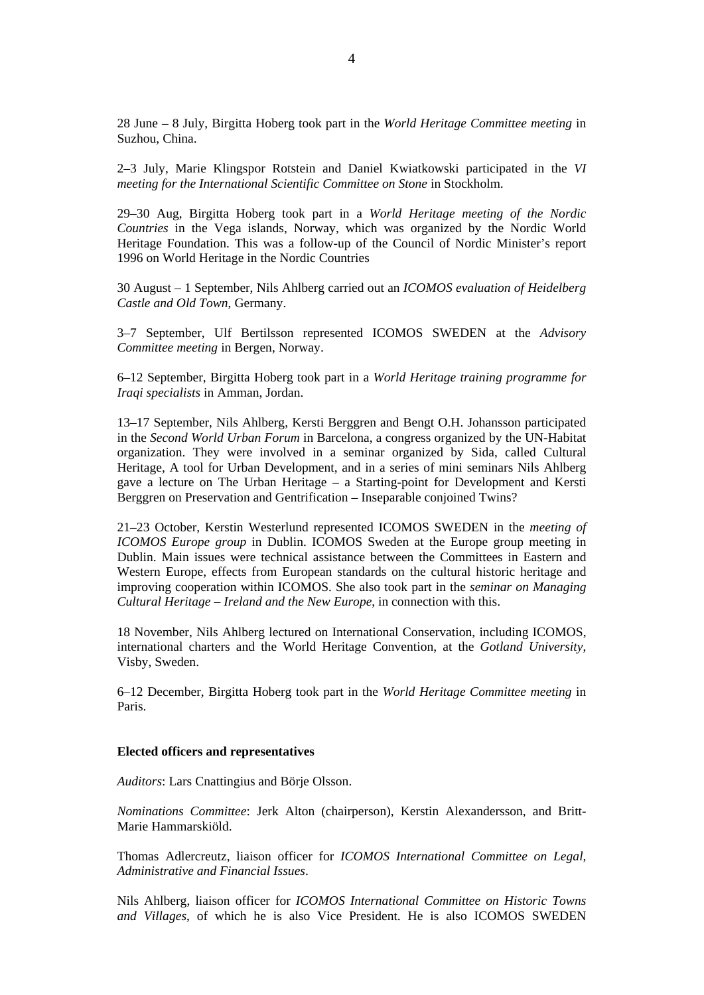28 June – 8 July, Birgitta Hoberg took part in the *World Heritage Committee meeting* in Suzhou, China.

2–3 July, Marie Klingspor Rotstein and Daniel Kwiatkowski participated in the *VI meeting for the International Scientific Committee on Stone* in Stockholm.

29–30 Aug, Birgitta Hoberg took part in a *World Heritage meeting of the Nordic Countries* in the Vega islands, Norway, which was organized by the Nordic World Heritage Foundation. This was a follow-up of the Council of Nordic Minister's report 1996 on World Heritage in the Nordic Countries

30 August – 1 September, Nils Ahlberg carried out an *ICOMOS evaluation of Heidelberg Castle and Old Town*, Germany.

3–7 September, Ulf Bertilsson represented ICOMOS SWEDEN at the *Advisory Committee meeting* in Bergen, Norway.

6–12 September, Birgitta Hoberg took part in a *World Heritage training programme for Iraqi specialists* in Amman, Jordan.

13–17 September, Nils Ahlberg, Kersti Berggren and Bengt O.H. Johansson participated in the *Second World Urban Forum* in Barcelona, a congress organized by the UN-Habitat organization. They were involved in a seminar organized by Sida, called Cultural Heritage, A tool for Urban Development, and in a series of mini seminars Nils Ahlberg gave a lecture on The Urban Heritage – a Starting-point for Development and Kersti Berggren on Preservation and Gentrification – Inseparable conjoined Twins?

21–23 October, Kerstin Westerlund represented ICOMOS SWEDEN in the *meeting of ICOMOS Europe group* in Dublin. ICOMOS Sweden at the Europe group meeting in Dublin. Main issues were technical assistance between the Committees in Eastern and Western Europe, effects from European standards on the cultural historic heritage and improving cooperation within ICOMOS. She also took part in the *seminar on Managing Cultural Heritage – Ireland and the New Europe*, in connection with this.

18 November, Nils Ahlberg lectured on International Conservation, including ICOMOS, international charters and the World Heritage Convention, at the *Gotland University*, Visby, Sweden.

6–12 December, Birgitta Hoberg took part in the *World Heritage Committee meeting* in Paris.

#### **Elected officers and representatives**

*Auditors*: Lars Cnattingius and Börje Olsson.

*Nominations Committee*: Jerk Alton (chairperson), Kerstin Alexandersson, and Britt-Marie Hammarskiöld.

Thomas Adlercreutz, liaison officer for *ICOMOS International Committee on Legal, Administrative and Financial Issues*.

Nils Ahlberg, liaison officer for *ICOMOS International Committee on Historic Towns and Villages*, of which he is also Vice President. He is also ICOMOS SWEDEN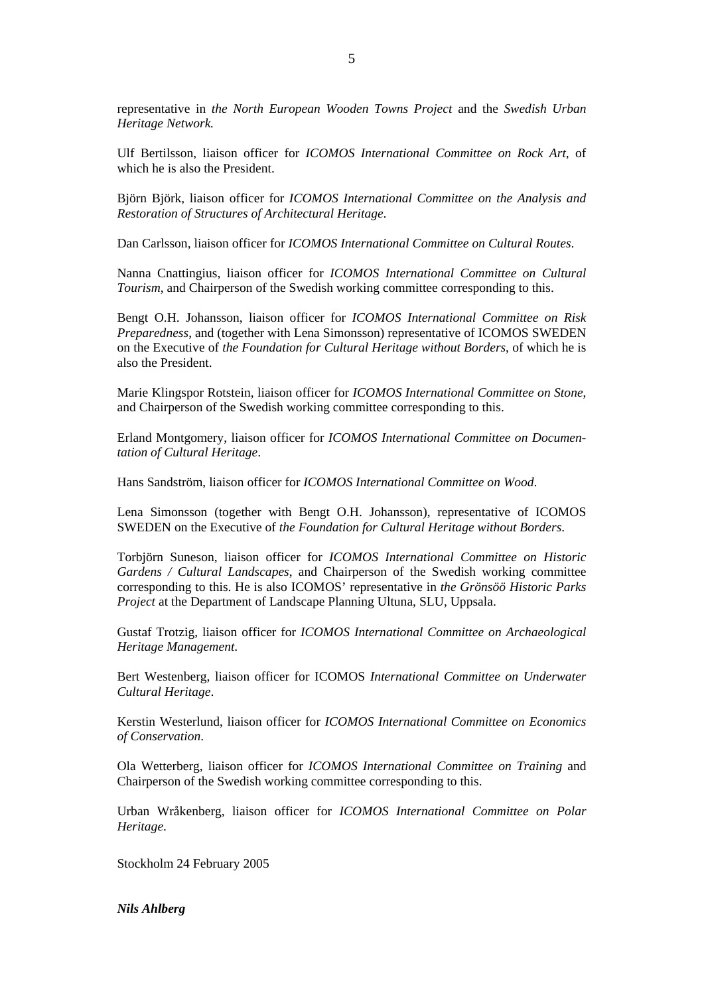representative in *the North European Wooden Towns Project* and the *Swedish Urban Heritage Network.*

Ulf Bertilsson, liaison officer for *ICOMOS International Committee on Rock Art*, of which he is also the President.

Björn Björk, liaison officer for *ICOMOS International Committee on the Analysis and Restoration of Structures of Architectural Heritage*.

Dan Carlsson, liaison officer for *ICOMOS International Committee on Cultural Routes*.

Nanna Cnattingius, liaison officer for *ICOMOS International Committee on Cultural Tourism*, and Chairperson of the Swedish working committee corresponding to this.

Bengt O.H. Johansson, liaison officer for *ICOMOS International Committee on Risk Preparedness*, and (together with Lena Simonsson) representative of ICOMOS SWEDEN on the Executive of *the Foundation for Cultural Heritage without Borders*, of which he is also the President.

Marie Klingspor Rotstein, liaison officer for *ICOMOS International Committee on Stone*, and Chairperson of the Swedish working committee corresponding to this.

Erland Montgomery, liaison officer for *ICOMOS International Committee on Documentation of Cultural Heritage*.

Hans Sandström, liaison officer for *ICOMOS International Committee on Wood*.

Lena Simonsson (together with Bengt O.H. Johansson), representative of ICOMOS SWEDEN on the Executive of *the Foundation for Cultural Heritage without Borders*.

Torbjörn Suneson, liaison officer for *ICOMOS International Committee on Historic Gardens / Cultural Landscapes*, and Chairperson of the Swedish working committee corresponding to this. He is also ICOMOS' representative in *the Grönsöö Historic Parks Project* at the Department of Landscape Planning Ultuna, SLU, Uppsala.

Gustaf Trotzig, liaison officer for *ICOMOS International Committee on Archaeological Heritage Management*.

Bert Westenberg, liaison officer for ICOMOS *International Committee on Underwater Cultural Heritage*.

Kerstin Westerlund, liaison officer for *ICOMOS International Committee on Economics of Conservation*.

Ola Wetterberg, liaison officer for *ICOMOS International Committee on Training* and Chairperson of the Swedish working committee corresponding to this.

Urban Wråkenberg, liaison officer for *ICOMOS International Committee on Polar Heritage*.

Stockholm 24 February 2005

*Nils Ahlberg*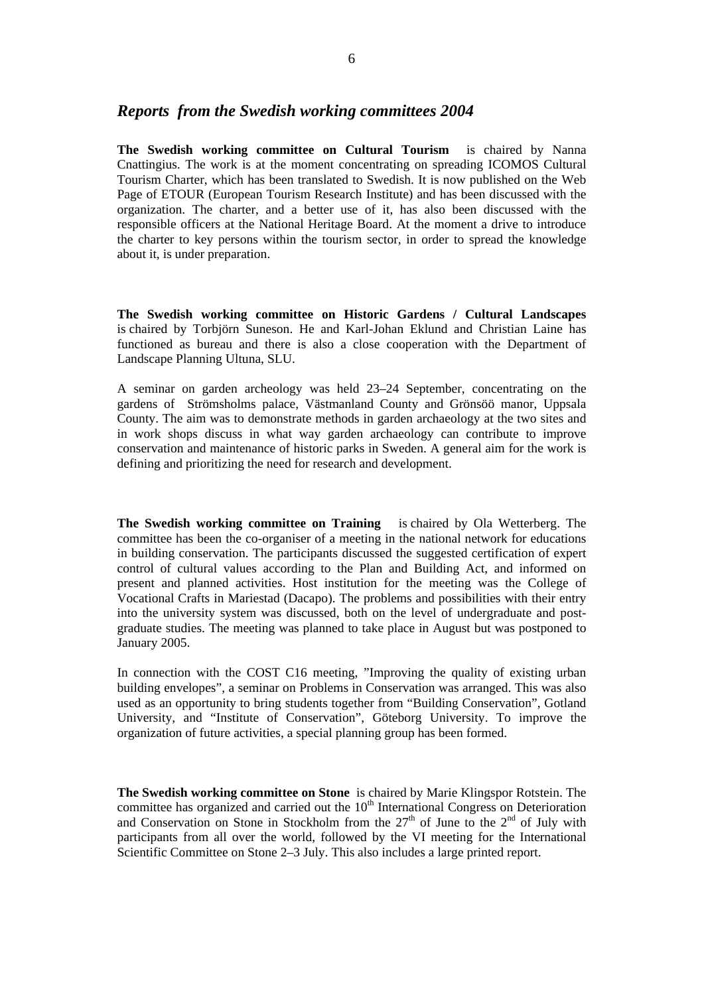## *Reports from the Swedish working committees 2004*

**The Swedish working committee on Cultural Tourism** is chaired by Nanna Cnattingius. The work is at the moment concentrating on spreading ICOMOS Cultural Tourism Charter, which has been translated to Swedish. It is now published on the Web Page of ETOUR (European Tourism Research Institute) and has been discussed with the organization. The charter, and a better use of it, has also been discussed with the responsible officers at the National Heritage Board. At the moment a drive to introduce the charter to key persons within the tourism sector, in order to spread the knowledge about it, is under preparation.

**The Swedish working committee on Historic Gardens / Cultural Landscapes** is chaired by Torbjörn Suneson. He and Karl-Johan Eklund and Christian Laine has functioned as bureau and there is also a close cooperation with the Department of Landscape Planning Ultuna, SLU.

A seminar on garden archeology was held 23–24 September, concentrating on the gardens of Strömsholms palace, Västmanland County and Grönsöö manor, Uppsala County. The aim was to demonstrate methods in garden archaeology at the two sites and in work shops discuss in what way garden archaeology can contribute to improve conservation and maintenance of historic parks in Sweden. A general aim for the work is defining and prioritizing the need for research and development.

**The Swedish working committee on Training** is chaired by Ola Wetterberg. The committee has been the co-organiser of a meeting in the national network for educations in building conservation. The participants discussed the suggested certification of expert control of cultural values according to the Plan and Building Act, and informed on present and planned activities. Host institution for the meeting was the College of Vocational Crafts in Mariestad (Dacapo). The problems and possibilities with their entry into the university system was discussed, both on the level of undergraduate and postgraduate studies. The meeting was planned to take place in August but was postponed to January 2005.

In connection with the COST C16 meeting, "Improving the quality of existing urban building envelopes", a seminar on Problems in Conservation was arranged. This was also used as an opportunity to bring students together from "Building Conservation", Gotland University, and "Institute of Conservation", Göteborg University. To improve the organization of future activities, a special planning group has been formed.

**The Swedish working committee on Stone** is chaired by Marie Klingspor Rotstein. The committee has organized and carried out the  $10<sup>th</sup>$  International Congress on Deterioration and Conservation on Stone in Stockholm from the  $27<sup>th</sup>$  of June to the  $2<sup>nd</sup>$  of July with participants from all over the world, followed by the VI meeting for the International Scientific Committee on Stone 2–3 July. This also includes a large printed report.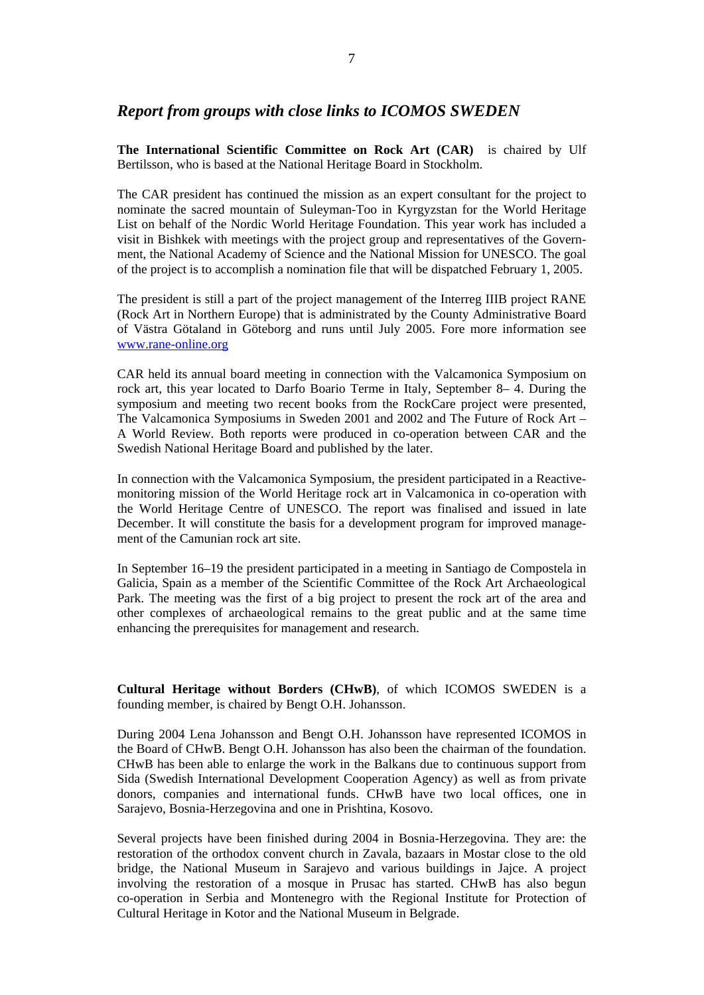# *Report from groups with close links to ICOMOS SWEDEN*

**The International Scientific Committee on Rock Art (CAR)** is chaired by Ulf Bertilsson, who is based at the National Heritage Board in Stockholm.

The CAR president has continued the mission as an expert consultant for the project to nominate the sacred mountain of Suleyman-Too in Kyrgyzstan for the World Heritage List on behalf of the Nordic World Heritage Foundation. This year work has included a visit in Bishkek with meetings with the project group and representatives of the Government, the National Academy of Science and the National Mission for UNESCO. The goal of the project is to accomplish a nomination file that will be dispatched February 1, 2005.

The president is still a part of the project management of the Interreg IIIB project RANE (Rock Art in Northern Europe) that is administrated by the County Administrative Board of Västra Götaland in Göteborg and runs until July 2005. Fore more information see [www.rane-online.org](http://www.rane-online.org/)

CAR held its annual board meeting in connection with the Valcamonica Symposium on rock art, this year located to Darfo Boario Terme in Italy, September 8– 4. During the symposium and meeting two recent books from the RockCare project were presented, The Valcamonica Symposiums in Sweden 2001 and 2002 and The Future of Rock Art – A World Review. Both reports were produced in co-operation between CAR and the Swedish National Heritage Board and published by the later.

In connection with the Valcamonica Symposium, the president participated in a Reactivemonitoring mission of the World Heritage rock art in Valcamonica in co-operation with the World Heritage Centre of UNESCO. The report was finalised and issued in late December. It will constitute the basis for a development program for improved management of the Camunian rock art site.

In September 16–19 the president participated in a meeting in Santiago de Compostela in Galicia, Spain as a member of the Scientific Committee of the Rock Art Archaeological Park. The meeting was the first of a big project to present the rock art of the area and other complexes of archaeological remains to the great public and at the same time enhancing the prerequisites for management and research.

**Cultural Heritage without Borders (CHwB)**, of which ICOMOS SWEDEN is a founding member, is chaired by Bengt O.H. Johansson.

During 2004 Lena Johansson and Bengt O.H. Johansson have represented ICOMOS in the Board of CHwB. Bengt O.H. Johansson has also been the chairman of the foundation. CHwB has been able to enlarge the work in the Balkans due to continuous support from Sida (Swedish International Development Cooperation Agency) as well as from private donors, companies and international funds. CHwB have two local offices, one in Sarajevo, Bosnia-Herzegovina and one in Prishtina, Kosovo.

Several projects have been finished during 2004 in Bosnia-Herzegovina. They are: the restoration of the orthodox convent church in Zavala, bazaars in Mostar close to the old bridge, the National Museum in Sarajevo and various buildings in Jajce. A project involving the restoration of a mosque in Prusac has started. CHwB has also begun co-operation in Serbia and Montenegro with the Regional Institute for Protection of Cultural Heritage in Kotor and the National Museum in Belgrade.